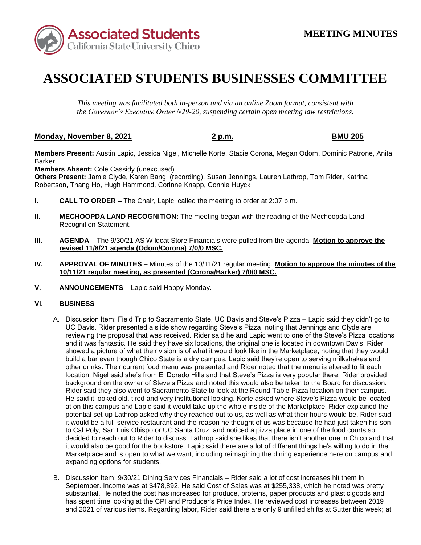

## **ASSOCIATED STUDENTS BUSINESSES COMMITTEE**

*This meeting was facilitated both in-person and via an online Zoom format, consistent with the Governor's Executive Order N29-20, suspending certain open meeting law restrictions.* 

## **Monday, November 8, 2021 2 p.m. BMU 205**

**Members Present:** Austin Lapic, Jessica Nigel, Michelle Korte, Stacie Corona, Megan Odom, Dominic Patrone, Anita Barker

**Members Absent:** Cole Cassidy (unexcused)

**Others Present:** Jamie Clyde, Karen Bang, (recording), Susan Jennings, Lauren Lathrop, Tom Rider, Katrina Robertson, Thang Ho, Hugh Hammond, Corinne Knapp, Connie Huyck

- **I. CALL TO ORDER –** The Chair, Lapic, called the meeting to order at 2:07 p.m.
- **II. MECHOOPDA LAND RECOGNITION:** The meeting began with the reading of the Mechoopda Land Recognition Statement.
- **III. AGENDA**  The 9/30/21 AS Wildcat Store Financials were pulled from the agenda. **Motion to approve the revised 11/8/21 agenda (Odom/Corona) 7/0/0 MSC.**
- **IV. APPROVAL OF MINUTES –** Minutes of the 10/11/21 regular meeting. **Motion to approve the minutes of the 10/11/21 regular meeting, as presented (Corona/Barker) 7/0/0 MSC.**
- **V. ANNOUNCEMENTS**  Lapic said Happy Monday.

## **VI. BUSINESS**

- A. <u>Discussion Item: Field Trip to Sacramento State, UC Davis and Steve's Pizza</u> Lapic said they didn't go to and it was fantastic. He said they have six locations, the original one is located in downtown Davis. Rider location. Nigel said she's from El Dorado Hills and that Steve's Pizza is very popular there. Rider provided He said it looked old, tired and very institutional looking. Korte asked where Steve's Pizza would be located potential set-up Lathrop asked why they reached out to us, as well as what their hours would be. Rider said it would be a full-service restaurant and the reason he thought of us was because he had just taken his son it would also be good for the bookstore. Lapic said there are a lot of different things he's willing to do in the Marketplace and is open to what we want, including reimagining the dining experience here on campus and UC Davis. Rider presented a slide show regarding Steve's Pizza, noting that Jennings and Clyde are reviewing the proposal that was received. Rider said he and Lapic went to one of the Steve's Pizza locations showed a picture of what their vision is of what it would look like in the Marketplace, noting that they would build a bar even though Chico State is a dry campus. Lapic said they're open to serving milkshakes and other drinks. Their current food menu was presented and Rider noted that the menu is altered to fit each background on the owner of Steve's Pizza and noted this would also be taken to the Board for discussion. Rider said they also went to Sacramento State to look at the Round Table Pizza location on their campus. at on this campus and Lapic said it would take up the whole inside of the Marketplace. Rider explained the to Cal Poly, San Luis Obispo or UC Santa Cruz, and noticed a pizza place in one of the food courts so decided to reach out to Rider to discuss. Lathrop said she likes that there isn't another one in Chico and that expanding options for students.
- September. Income was at \$478,892. He said Cost of Sales was at \$255,338, which he noted was pretty B. Discussion Item: 9/30/21 Dining Services Financials – Rider said a lot of cost increases hit them in substantial. He noted the cost has increased for produce, proteins, paper products and plastic goods and has spent time looking at the CPI and Producer's Price Index. He reviewed cost increases between 2019 and 2021 of various items. Regarding labor, Rider said there are only 9 unfilled shifts at Sutter this week; at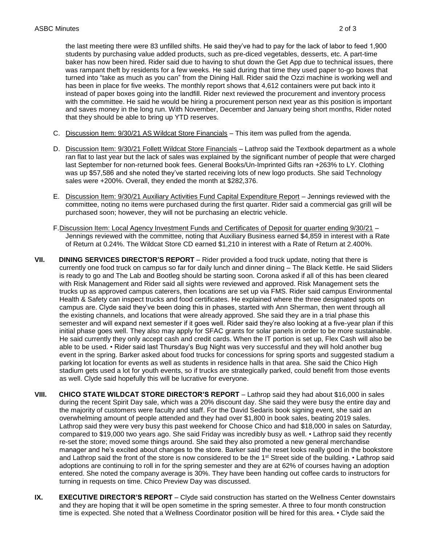students by purchasing value added products, such as pre-diced vegetables, desserts, etc. A part-time baker has now been hired. Rider said due to having to shut down the Get App due to technical issues, there turned into "take as much as you can" from the Dining Hall. Rider said the Ozzi machine is working well and instead of paper boxes going into the landfill. Rider next reviewed the procurement and inventory process the last meeting there were 83 unfilled shifts. He said they've had to pay for the lack of labor to feed 1,900 was rampant theft by residents for a few weeks. He said during that time they used paper to-go boxes that has been in place for five weeks. The monthly report shows that 4,612 containers were put back into it with the committee. He said he would be hiring a procurement person next year as this position is important and saves money in the long run. With November, December and January being short months, Rider noted that they should be able to bring up YTD reserves.

- C. Discussion Item: 9/30/21 AS Wildcat Store Financials This item was pulled from the agenda.
- D. Discussion Item: 9/30/21 Follett Wildcat Store Financials Lathrop said the Textbook department as a whole ran flat to last year but the lack of sales was explained by the significant number of people that were charged last September for non-returned book fees. General Books/Un-Imprinted Gifts ran +263% to LY. Clothing was up \$57,586 and she noted they've started receiving lots of new logo products. She said Technology sales were +200%. Overall, they ended the month at \$282,376.
- committee, noting no items were purchased during the first quarter. Rider said a commercial gas grill will be purchased soon; however, they will not be purchasing an electric vehicle. E. Discussion Item: 9/30/21 Auxiliary Activities Fund Capital Expenditure Report – Jennings reviewed with the
- F.Discussion Item: Local Agency Investment Funds and Certificates of Deposit for quarter ending 9/30/21 Jennings reviewed with the committee, noting that Auxiliary Business earned \$4,859 in interest with a Rate of Return at 0.24%. The Wildcat Store CD earned \$1,210 in interest with a Rate of Return at 2.400%.
- is ready to go and The Lab and Bootleg should be starting soon. Corona asked if all of this has been cleared Health & Safety can inspect trucks and food certificates. He explained where the three designated spots on the existing channels, and locations that were already approved. She said they are in a trial phase this initial phase goes well. They also may apply for SFAC grants for solar panels in order to be more sustainable. He said currently they only accept cash and credit cards. When the IT portion is set up, Flex Cash will also be as well. Clyde said hopefully this will be lucrative for everyone. **VII. DINING SERVICES DIRECTOR'S REPORT** – Rider provided a food truck update, noting that there is currently one food truck on campus so far for daily lunch and dinner dining – The Black Kettle. He said Sliders with Risk Management and Rider said all sights were reviewed and approved. Risk Management sets the trucks up as approved campus caterers, then locations are set up via FMS. Rider said campus Environmental campus are. Clyde said they've been doing this in phases, started with Ann Sherman, then went through all semester and will expand next semester if it goes well. Rider said they're also looking at a five-year plan if this able to be used. • Rider said last Thursday's Bug Night was very successful and they will hold another bug event in the spring. Barker asked about food trucks for concessions for spring sports and suggested stadium a parking lot location for events as well as students in residence halls in that area. She said the Chico High stadium gets used a lot for youth events, so if trucks are strategically parked, could benefit from those events
- Lathrop said they were very busy this past weekend for Choose Chico and had \$18,000 in sales on Saturday, compared to \$19,000 two years ago. She said Friday was incredibly busy as well. • Lathrop said they recently manager and he's excited about changes to the store. Barker said the reset looks really good in the bookstore **VIII. CHICO STATE WILDCAT STORE DIRECTOR'S REPORT** – Lathrop said they had about \$16,000 in sales during the recent Spirit Day sale, which was a 20% discount day. She said they were busy the entire day and the majority of customers were faculty and staff. For the David Sedaris book signing event, she said an overwhelming amount of people attended and they had over \$1,800 in book sales, beating 2019 sales. re-set the store; moved some things around. She said they also promoted a new general merchandise and Lathrop said the front of the store is now considered to be the 1<sup>st</sup> Street side of the building. • Lathrop said adoptions are continuing to roll in for the spring semester and they are at 62% of courses having an adoption entered. She noted the company average is 30%. They have been handing out coffee cards to instructors for turning in requests on time. Chico Preview Day was discussed.
- **IX. EXECUTIVE DIRECTOR'S REPORT** Clyde said construction has started on the Wellness Center downstairs and they are hoping that it will be open sometime in the spring semester. A three to four month construction time is expected. She noted that a Wellness Coordinator position will be hired for this area. • Clyde said the